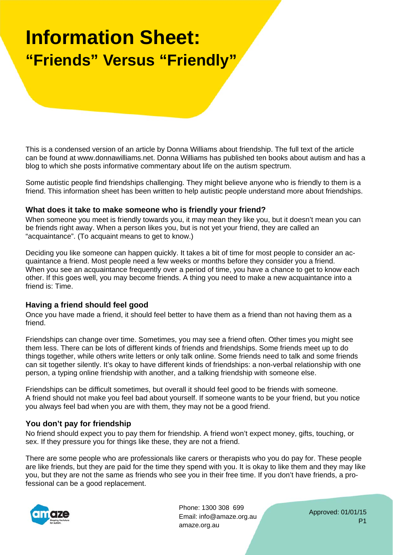# **Information Sheet: "Friends" Versus "Friendly"**

This is a condensed version of an article by Donna Williams about friendship. The full text of the article can be found at www.donnawilliams.net. Donna Williams has published ten books about autism and has a blog to which she posts informative commentary about life on the autism spectrum.

Some autistic people find friendships challenging. They might believe anyone who is friendly to them is a friend. This information sheet has been written to help autistic people understand more about friendships.

### **What does it take to make someone who is friendly your friend?**

When someone you meet is friendly towards you, it may mean they like you, but it doesn't mean you can be friends right away. When a person likes you, but is not yet your friend, they are called an "acquaintance". (To acquaint means to get to know.)

Deciding you like someone can happen quickly. It takes a bit of time for most people to consider an acquaintance a friend. Most people need a few weeks or months before they consider you a friend. When you see an acquaintance frequently over a period of time, you have a chance to get to know each other. If this goes well, you may become friends. A thing you need to make a new acquaintance into a friend is: Time.

### **Having a friend should feel good**

Once you have made a friend, it should feel better to have them as a friend than not having them as a friend.

Friendships can change over time. Sometimes, you may see a friend often. Other times you might see them less. There can be lots of different kinds of friends and friendships. Some friends meet up to do things together, while others write letters or only talk online. Some friends need to talk and some friends can sit together silently. It's okay to have different kinds of friendships: a non-verbal relationship with one person, a typing online friendship with another, and a talking friendship with someone else.

Friendships can be difficult sometimes, but overall it should feel good to be friends with someone. A friend should not make you feel bad about yourself. If someone wants to be your friend, but you notice you always feel bad when you are with them, they may not be a good friend.

### **You don't pay for friendship**

No friend should expect you to pay them for friendship. A friend won't expect money, gifts, touching, or sex. If they pressure you for things like these, they are not a friend.

There are some people who are professionals like carers or therapists who you do pay for. These people are like friends, but they are paid for the time they spend with you. It is okay to like them and they may like you, but they are not the same as friends who see you in their free time. If you don't have friends, a professional can be a good replacement.



Phone: 1300 308 699 Email: info@amaze.org.au amaze.org.au

Approved: 01/01/15 P1